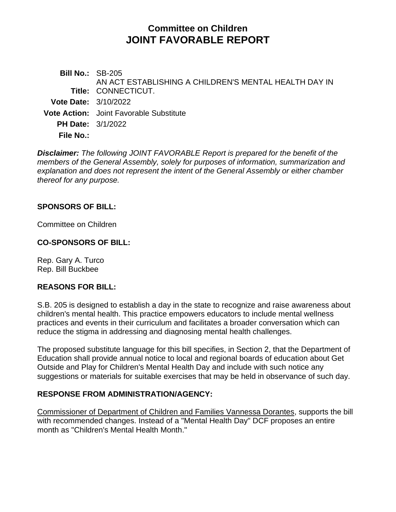# **Committee on Children JOINT FAVORABLE REPORT**

**Bill No.:** SB-205 **Title:** CONNECTICUT. AN ACT ESTABLISHING A CHILDREN'S MENTAL HEALTH DAY IN **Vote Date:** 3/10/2022 **Vote Action:** Joint Favorable Substitute **PH Date:** 3/1/2022 **File No.:**

*Disclaimer: The following JOINT FAVORABLE Report is prepared for the benefit of the members of the General Assembly, solely for purposes of information, summarization and explanation and does not represent the intent of the General Assembly or either chamber thereof for any purpose.*

#### **SPONSORS OF BILL:**

Committee on Children

#### **CO-SPONSORS OF BILL:**

Rep. Gary A. Turco Rep. Bill Buckbee

#### **REASONS FOR BILL:**

S.B. 205 is designed to establish a day in the state to recognize and raise awareness about children's mental health. This practice empowers educators to include mental wellness practices and events in their curriculum and facilitates a broader conversation which can reduce the stigma in addressing and diagnosing mental health challenges.

The proposed substitute language for this bill specifies, in Section 2, that the Department of Education shall provide annual notice to local and regional boards of education about Get Outside and Play for Children's Mental Health Day and include with such notice any suggestions or materials for suitable exercises that may be held in observance of such day.

#### **RESPONSE FROM ADMINISTRATION/AGENCY:**

Commissioner of Department of Children and Families Vannessa Dorantes, supports the bill with recommended changes. Instead of a "Mental Health Day" DCF proposes an entire month as "Children's Mental Health Month."